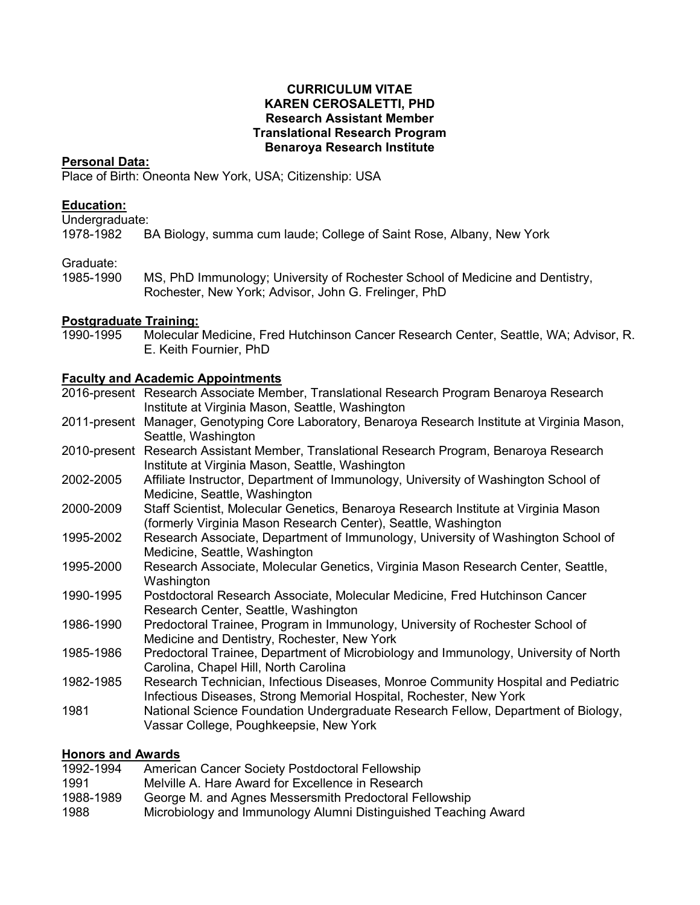#### **CURRICULUM VITAE KAREN CEROSALETTI, PHD Research Assistant Member Translational Research Program Benaroya Research Institute**

#### **Personal Data:**

Place of Birth: Oneonta New York, USA; Citizenship: USA

### **Education:**

Undergraduate:<br>1978-1982 B

BA Biology, summa cum laude; College of Saint Rose, Albany, New York

### Graduate:

1985-1990 MS, PhD Immunology; University of Rochester School of Medicine and Dentistry, Rochester, New York; Advisor, John G. Frelinger, PhD

### **Postgraduate Training:**

1990-1995 Molecular Medicine, Fred Hutchinson Cancer Research Center, Seattle, WA; Advisor, R. E. Keith Fournier, PhD

### **Faculty and Academic Appointments**

|           | 2016-present Research Associate Member, Translational Research Program Benaroya Research<br>Institute at Virginia Mason, Seattle, Washington            |
|-----------|---------------------------------------------------------------------------------------------------------------------------------------------------------|
|           | 2011-present Manager, Genotyping Core Laboratory, Benaroya Research Institute at Virginia Mason,<br>Seattle, Washington                                 |
|           | 2010-present Research Assistant Member, Translational Research Program, Benaroya Research<br>Institute at Virginia Mason, Seattle, Washington           |
| 2002-2005 | Affiliate Instructor, Department of Immunology, University of Washington School of<br>Medicine, Seattle, Washington                                     |
| 2000-2009 | Staff Scientist, Molecular Genetics, Benaroya Research Institute at Virginia Mason<br>(formerly Virginia Mason Research Center), Seattle, Washington    |
| 1995-2002 | Research Associate, Department of Immunology, University of Washington School of<br>Medicine, Seattle, Washington                                       |
| 1995-2000 | Research Associate, Molecular Genetics, Virginia Mason Research Center, Seattle,<br>Washington                                                          |
| 1990-1995 | Postdoctoral Research Associate, Molecular Medicine, Fred Hutchinson Cancer<br>Research Center, Seattle, Washington                                     |
| 1986-1990 | Predoctoral Trainee, Program in Immunology, University of Rochester School of<br>Medicine and Dentistry, Rochester, New York                            |
| 1985-1986 | Predoctoral Trainee, Department of Microbiology and Immunology, University of North<br>Carolina, Chapel Hill, North Carolina                            |
| 1982-1985 | Research Technician, Infectious Diseases, Monroe Community Hospital and Pediatric<br>Infectious Diseases, Strong Memorial Hospital, Rochester, New York |
| 1981      | National Science Foundation Undergraduate Research Fellow, Department of Biology,<br>Vassar College, Poughkeepsie, New York                             |

# **Honors and Awards**

| 1992-1994 | American Cancer Society Postdoctoral Fellowship                 |
|-----------|-----------------------------------------------------------------|
| 1991      | Melville A. Hare Award for Excellence in Research               |
| 1988-1989 | George M. and Agnes Messersmith Predoctoral Fellowship          |
| 1988      | Microbiology and Immunology Alumni Distinguished Teaching Award |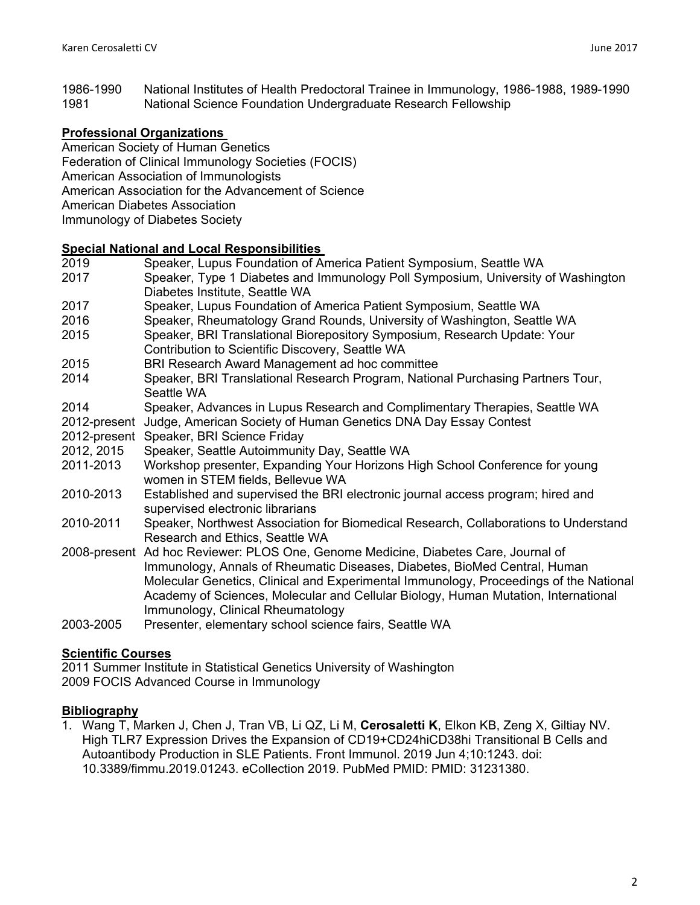1986-1990 National Institutes of Health Predoctoral Trainee in Immunology, 1986-1988, 1989-1990 1981 National Science Foundation Undergraduate Research Fellowship

# **Professional Organizations**

- American Society of Human Genetics
- Federation of Clinical Immunology Societies (FOCIS)
- American Association of Immunologists
- American Association for the Advancement of Science
- American Diabetes Association
- Immunology of Diabetes Society

### **Special National and Local Responsibilities**

2019 Speaker, Lupus Foundation of America Patient Symposium, Seattle WA 2017 Speaker, Type 1 Diabetes and Immunology Poll Symposium, University of Washington Diabetes Institute, Seattle WA 2017 Speaker, Lupus Foundation of America Patient Symposium, Seattle WA 2016 Speaker, Rheumatology Grand Rounds, University of Washington, Seattle WA 2015 Speaker, BRI Translational Biorepository Symposium, Research Update: Your Contribution to Scientific Discovery, Seattle WA 2015 BRI Research Award Management ad hoc committee 2014 Speaker, BRI Translational Research Program, National Purchasing Partners Tour, Seattle WA 2014 Speaker, Advances in Lupus Research and Complimentary Therapies, Seattle WA 2012-present Judge, American Society of Human Genetics DNA Day Essay Contest 2012-present Speaker, BRI Science Friday 2012, 2015 Speaker, Seattle Autoimmunity Day, Seattle WA 2011-2013 Workshop presenter, Expanding Your Horizons High School Conference for young women in STEM fields, Bellevue WA 2010-2013 Established and supervised the BRI electronic journal access program; hired and supervised electronic librarians 2010-2011 Speaker, Northwest Association for Biomedical Research, Collaborations to Understand Research and Ethics, Seattle WA 2008-present Ad hoc Reviewer: PLOS One, Genome Medicine, Diabetes Care, Journal of Immunology, Annals of Rheumatic Diseases, Diabetes, BioMed Central, Human Molecular Genetics, Clinical and Experimental Immunology, Proceedings of the National Academy of Sciences, Molecular and Cellular Biology, Human Mutation, International Immunology, Clinical Rheumatology 2003-2005 Presenter, elementary school science fairs, Seattle WA

# **Scientific Courses**

2011 Summer Institute in Statistical Genetics University of Washington 2009 FOCIS Advanced Course in Immunology

### **Bibliography**

1. Wang T, Marken J, Chen J, Tran VB, Li QZ, Li M, **Cerosaletti K**, Elkon KB, Zeng X, Giltiay NV. High TLR7 Expression Drives the Expansion of CD19+CD24hiCD38hi Transitional B Cells and Autoantibody Production in SLE Patients. Front Immunol. 2019 Jun 4;10:1243. doi: 10.3389/fimmu.2019.01243. eCollection 2019. PubMed PMID: PMID: 31231380.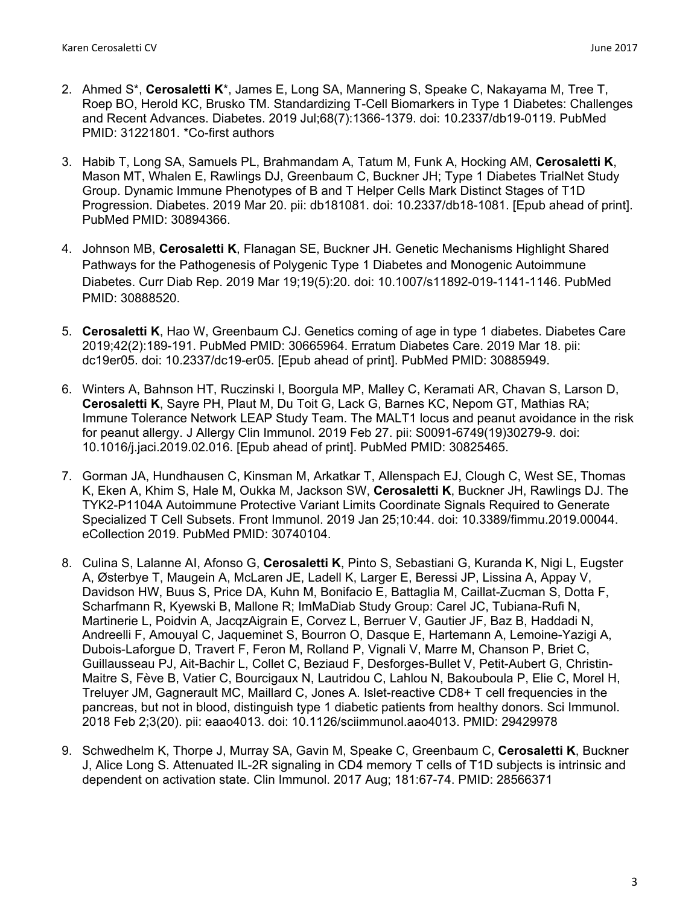- 2. Ahmed S\*, **Cerosaletti K**\*, James E, Long SA, Mannering S, Speake C, Nakayama M, Tree T, Roep BO, Herold KC, Brusko TM. Standardizing T-Cell Biomarkers in Type 1 Diabetes: Challenges and Recent Advances. Diabetes. 2019 Jul;68(7):1366-1379. doi: 10.2337/db19-0119. PubMed PMID: 31221801. \*Co-first authors
- 3. Habib T, Long SA, Samuels PL, Brahmandam A, Tatum M, Funk A, Hocking AM, **Cerosaletti K**, Mason MT, Whalen E, Rawlings DJ, Greenbaum C, Buckner JH; Type 1 Diabetes TrialNet Study Group. Dynamic Immune Phenotypes of B and T Helper Cells Mark Distinct Stages of T1D Progression. Diabetes. 2019 Mar 20. pii: db181081. doi: 10.2337/db18-1081. [Epub ahead of print]. PubMed PMID: 30894366.
- 4. Johnson MB, **Cerosaletti K**, Flanagan SE, Buckner JH. Genetic Mechanisms Highlight Shared Pathways for the Pathogenesis of Polygenic Type 1 Diabetes and Monogenic Autoimmune Diabetes. Curr Diab Rep. 2019 Mar 19;19(5):20. doi: 10.1007/s11892-019-1141-1146. PubMed PMID: 30888520.
- 5. **Cerosaletti K**, Hao W, Greenbaum CJ. Genetics coming of age in type 1 diabetes. Diabetes Care 2019;42(2):189-191. PubMed PMID: 30665964. Erratum Diabetes Care. 2019 Mar 18. pii: dc19er05. doi: 10.2337/dc19-er05. [Epub ahead of print]. PubMed PMID: 30885949.
- 6. Winters A, Bahnson HT, Ruczinski I, Boorgula MP, Malley C, Keramati AR, Chavan S, Larson D, **Cerosaletti K**, Sayre PH, Plaut M, Du Toit G, Lack G, Barnes KC, Nepom GT, Mathias RA; Immune Tolerance Network LEAP Study Team. The MALT1 locus and peanut avoidance in the risk for peanut allergy. J Allergy Clin Immunol. 2019 Feb 27. pii: S0091-6749(19)30279-9. doi: 10.1016/j.jaci.2019.02.016. [Epub ahead of print]. PubMed PMID: 30825465.
- 7. Gorman JA, Hundhausen C, Kinsman M, Arkatkar T, Allenspach EJ, Clough C, West SE, Thomas K, Eken A, Khim S, Hale M, Oukka M, Jackson SW, **Cerosaletti K**, Buckner JH, Rawlings DJ. The TYK2-P1104A Autoimmune Protective Variant Limits Coordinate Signals Required to Generate Specialized T Cell Subsets. Front Immunol. 2019 Jan 25;10:44. doi: 10.3389/fimmu.2019.00044. eCollection 2019. PubMed PMID: 30740104.
- 8. Culina S, Lalanne AI, Afonso G, **Cerosaletti K**, Pinto S, Sebastiani G, Kuranda K, Nigi L, Eugster A, Østerbye T, Maugein A, McLaren JE, Ladell K, Larger E, Beressi JP, Lissina A, Appay V, Davidson HW, Buus S, Price DA, Kuhn M, Bonifacio E, Battaglia M, Caillat-Zucman S, Dotta F, Scharfmann R, Kyewski B, Mallone R; ImMaDiab Study Group: Carel JC, Tubiana-Rufi N, Martinerie L, Poidvin A, JacqzAigrain E, Corvez L, Berruer V, Gautier JF, Baz B, Haddadi N, Andreelli F, Amouyal C, Jaqueminet S, Bourron O, Dasque E, Hartemann A, Lemoine-Yazigi A, Dubois-Laforgue D, Travert F, Feron M, Rolland P, Vignali V, Marre M, Chanson P, Briet C, Guillausseau PJ, Ait-Bachir L, Collet C, Beziaud F, Desforges-Bullet V, Petit-Aubert G, Christin-Maitre S, Fève B, Vatier C, Bourcigaux N, Lautridou C, Lahlou N, Bakouboula P, Elie C, Morel H, Treluyer JM, Gagnerault MC, Maillard C, Jones A. Islet-reactive CD8+ T cell frequencies in the pancreas, but not in blood, distinguish type 1 diabetic patients from healthy donors. Sci Immunol. 2018 Feb 2;3(20). pii: eaao4013. doi: 10.1126/sciimmunol.aao4013. PMID: 29429978
- 9. Schwedhelm K, Thorpe J, Murray SA, Gavin M, Speake C, Greenbaum C, **Cerosaletti K**, Buckner J, Alice Long S. Attenuated IL-2R signaling in CD4 memory T cells of T1D subjects is intrinsic and dependent on activation state. Clin Immunol. 2017 Aug; 181:67-74. PMID: 28566371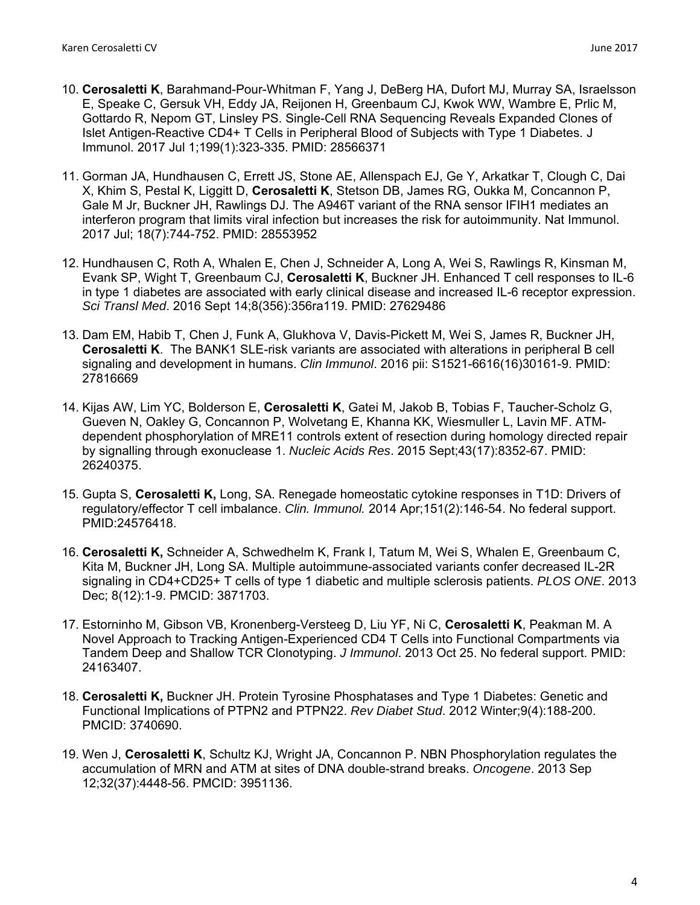- 10. **Cerosaletti K**, Barahmand-Pour-Whitman F, Yang J, DeBerg HA, Dufort MJ, Murray SA, Israelsson E, Speake C, Gersuk VH, Eddy JA, Reijonen H, Greenbaum CJ, Kwok WW, Wambre E, Prlic M, Gottardo R, Nepom GT, Linsley PS. Single-Cell RNA Sequencing Reveals Expanded Clones of Islet Antigen-Reactive CD4+ T Cells in Peripheral Blood of Subjects with Type 1 Diabetes. J Immunol. 2017 Jul 1;199(1):323-335. PMID: 28566371
- 11. Gorman JA, Hundhausen C, Errett JS, Stone AE, Allenspach EJ, Ge Y, Arkatkar T, Clough C, Dai X, Khim S, Pestal K, Liggitt D, **Cerosaletti K**, Stetson DB, James RG, Oukka M, Concannon P, Gale M Jr, Buckner JH, Rawlings DJ. The A946T variant of the RNA sensor IFIH1 mediates an interferon program that limits viral infection but increases the risk for autoimmunity. Nat Immunol. 2017 Jul; 18(7):744-752. PMID: 28553952
- 12. Hundhausen C, Roth A, Whalen E, Chen J, Schneider A, Long A, Wei S, Rawlings R, Kinsman M, Evank SP, Wight T, Greenbaum CJ, **Cerosaletti K**, Buckner JH. Enhanced T cell responses to IL-6 in type 1 diabetes are associated with early clinical disease and increased IL-6 receptor expression. *Sci Transl Med*. 2016 Sept 14;8(356):356ra119. PMID: 27629486
- 13. Dam EM, Habib T, Chen J, Funk A, Glukhova V, Davis-Pickett M, Wei S, James R, Buckner JH, **Cerosaletti K**. The BANK1 SLE-risk variants are associated with alterations in peripheral B cell signaling and development in humans. *Clin Immunol*. 2016 pii: S1521-6616(16)30161-9. PMID: 27816669
- 14. Kijas AW, Lim YC, Bolderson E, **Cerosaletti K**, Gatei M, Jakob B, Tobias F, Taucher-Scholz G, Gueven N, Oakley G, Concannon P, Wolvetang E, Khanna KK, Wiesmuller L, Lavin MF. ATMdependent phosphorylation of MRE11 controls extent of resection during homology directed repair by signalling through exonuclease 1. *Nucleic Acids Res*. 2015 Sept;43(17):8352-67. PMID: 26240375.
- 15. Gupta S, **Cerosaletti K,** Long, SA. Renegade homeostatic cytokine responses in T1D: Drivers of regulatory/effector T cell imbalance. *Clin. Immunol.* 2014 Apr;151(2):146-54. No federal support. PMID:24576418.
- 16. **Cerosaletti K,** Schneider A, Schwedhelm K, Frank I, Tatum M, Wei S, Whalen E, Greenbaum C, Kita M, Buckner JH, Long SA. Multiple autoimmune-associated variants confer decreased IL-2R signaling in CD4+CD25+ T cells of type 1 diabetic and multiple sclerosis patients. *PLOS ONE*. 2013 Dec; 8(12):1-9. PMCID: 3871703.
- 17. Estorninho M, Gibson VB, Kronenberg-Versteeg D, Liu YF, Ni C, **Cerosaletti K**, Peakman M. A Novel Approach to Tracking Antigen-Experienced CD4 T Cells into Functional Compartments via Tandem Deep and Shallow TCR Clonotyping. *J Immunol*. 2013 Oct 25. No federal support. PMID: 24163407.
- 18. **Cerosaletti K,** Buckner JH. Protein Tyrosine Phosphatases and Type 1 Diabetes: Genetic and Functional Implications of PTPN2 and PTPN22. *Rev Diabet Stud*. 2012 Winter;9(4):188-200. PMCID: 3740690.
- 19. Wen J, **Cerosaletti K**, Schultz KJ, Wright JA, Concannon P. NBN Phosphorylation regulates the accumulation of MRN and ATM at sites of DNA double-strand breaks. *Oncogene*. 2013 Sep 12;32(37):4448-56. PMCID: 3951136.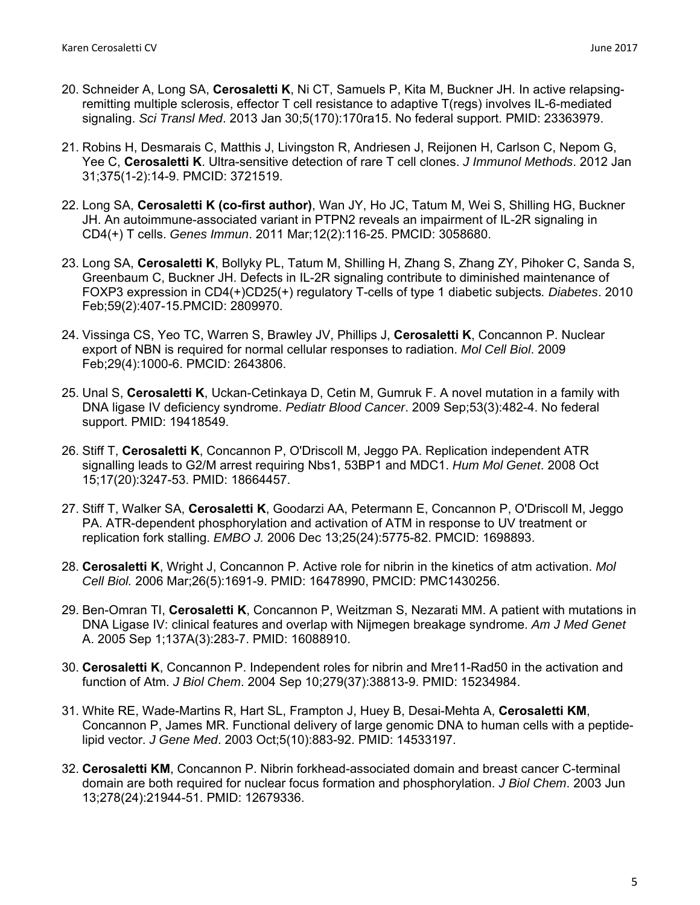- 20. Schneider A, Long SA, **Cerosaletti K**, Ni CT, Samuels P, Kita M, Buckner JH. In active relapsingremitting multiple sclerosis, effector T cell resistance to adaptive T(regs) involves IL-6-mediated signaling. *Sci Transl Med*. 2013 Jan 30;5(170):170ra15. No federal support. PMID: 23363979.
- 21. Robins H, Desmarais C, Matthis J, Livingston R, Andriesen J, Reijonen H, Carlson C, Nepom G, Yee C, **Cerosaletti K**. Ultra-sensitive detection of rare T cell clones. *J Immunol Methods*. 2012 Jan 31;375(1-2):14-9. PMCID: 3721519.
- 22. Long SA, **Cerosaletti K (co-first author)**, Wan JY, Ho JC, Tatum M, Wei S, Shilling HG, Buckner JH. An autoimmune-associated variant in PTPN2 reveals an impairment of IL-2R signaling in CD4(+) T cells. *Genes Immun*. 2011 Mar;12(2):116-25. PMCID: 3058680.
- 23. Long SA, **Cerosaletti K**, Bollyky PL, Tatum M, Shilling H, Zhang S, Zhang ZY, Pihoker C, Sanda S, Greenbaum C, Buckner JH. Defects in IL-2R signaling contribute to diminished maintenance of FOXP3 expression in CD4(+)CD25(+) regulatory T-cells of type 1 diabetic subjects*. Diabetes*. 2010 Feb;59(2):407-15.PMCID: 2809970.
- 24. Vissinga CS, Yeo TC, Warren S, Brawley JV, Phillips J, **Cerosaletti K**, Concannon P. Nuclear export of NBN is required for normal cellular responses to radiation. *Mol Cell Biol*. 2009 Feb;29(4):1000-6. PMCID: 2643806.
- 25. Unal S, **Cerosaletti K**, Uckan-Cetinkaya D, Cetin M, Gumruk F. A novel mutation in a family with DNA ligase IV deficiency syndrome. *Pediatr Blood Cancer*. 2009 Sep;53(3):482-4. No federal support. PMID: 19418549.
- 26. Stiff T, **Cerosaletti K**, Concannon P, O'Driscoll M, Jeggo PA. Replication independent ATR signalling leads to G2/M arrest requiring Nbs1, 53BP1 and MDC1. *Hum Mol Genet*. 2008 Oct 15;17(20):3247-53. PMID: 18664457.
- 27. Stiff T, Walker SA, **Cerosaletti K**, Goodarzi AA, Petermann E, Concannon P, O'Driscoll M, Jeggo PA. ATR-dependent phosphorylation and activation of ATM in response to UV treatment or replication fork stalling. *EMBO J.* 2006 Dec 13;25(24):5775-82. PMCID: 1698893.
- 28. **Cerosaletti K**, Wright J, Concannon P. Active role for nibrin in the kinetics of atm activation. *Mol Cell Biol.* 2006 Mar;26(5):1691-9. PMID: 16478990, PMCID: PMC1430256.
- 29. Ben-Omran TI, **Cerosaletti K**, Concannon P, Weitzman S, Nezarati MM. A patient with mutations in DNA Ligase IV: clinical features and overlap with Nijmegen breakage syndrome. *Am J Med Genet* A. 2005 Sep 1;137A(3):283-7. PMID: 16088910.
- 30. **Cerosaletti K**, Concannon P. Independent roles for nibrin and Mre11-Rad50 in the activation and function of Atm. *J Biol Chem*. 2004 Sep 10;279(37):38813-9. PMID: 15234984.
- 31. White RE, Wade-Martins R, Hart SL, Frampton J, Huey B, Desai-Mehta A, **Cerosaletti KM**, Concannon P, James MR. Functional delivery of large genomic DNA to human cells with a peptidelipid vector. *J Gene Med*. 2003 Oct;5(10):883-92. PMID: 14533197.
- 32. **Cerosaletti KM**, Concannon P. Nibrin forkhead-associated domain and breast cancer C-terminal domain are both required for nuclear focus formation and phosphorylation. *J Biol Chem*. 2003 Jun 13;278(24):21944-51. PMID: 12679336.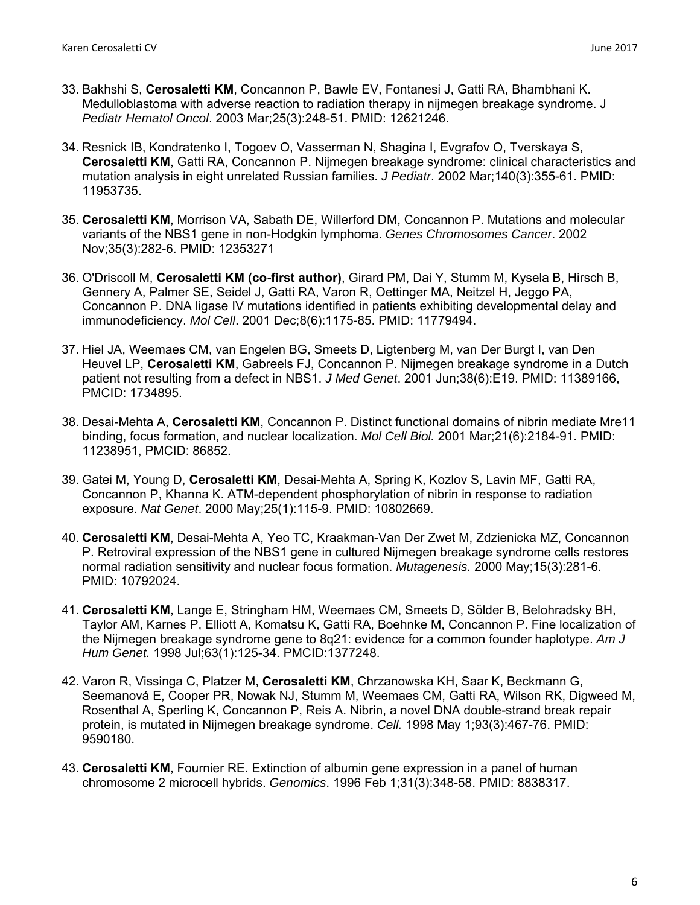- 33. Bakhshi S, **Cerosaletti KM**, Concannon P, Bawle EV, Fontanesi J, Gatti RA, Bhambhani K. Medulloblastoma with adverse reaction to radiation therapy in nijmegen breakage syndrome. J *Pediatr Hematol Oncol*. 2003 Mar;25(3):248-51. PMID: 12621246.
- 34. Resnick IB, Kondratenko I, Togoev O, Vasserman N, Shagina I, Evgrafov O, Tverskaya S, **Cerosaletti KM**, Gatti RA, Concannon P. Nijmegen breakage syndrome: clinical characteristics and mutation analysis in eight unrelated Russian families. *J Pediatr*. 2002 Mar;140(3):355-61. PMID: 11953735.
- 35. **Cerosaletti KM**, Morrison VA, Sabath DE, Willerford DM, Concannon P. Mutations and molecular variants of the NBS1 gene in non-Hodgkin lymphoma. *Genes Chromosomes Cancer*. 2002 Nov;35(3):282-6. PMID: 12353271
- 36. O'Driscoll M, **Cerosaletti KM (co-first author)**, Girard PM, Dai Y, Stumm M, Kysela B, Hirsch B, Gennery A, Palmer SE, Seidel J, Gatti RA, Varon R, Oettinger MA, Neitzel H, Jeggo PA, Concannon P. DNA ligase IV mutations identified in patients exhibiting developmental delay and immunodeficiency. *Mol Cell*. 2001 Dec;8(6):1175-85. PMID: 11779494.
- 37. Hiel JA, Weemaes CM, van Engelen BG, Smeets D, Ligtenberg M, van Der Burgt I, van Den Heuvel LP, **Cerosaletti KM**, Gabreels FJ, Concannon P. Nijmegen breakage syndrome in a Dutch patient not resulting from a defect in NBS1. *J Med Genet*. 2001 Jun;38(6):E19. PMID: 11389166, PMCID: 1734895.
- 38. Desai-Mehta A, **Cerosaletti KM**, Concannon P. Distinct functional domains of nibrin mediate Mre11 binding, focus formation, and nuclear localization. *Mol Cell Biol.* 2001 Mar;21(6):2184-91. PMID: 11238951, PMCID: 86852.
- 39. Gatei M, Young D, **Cerosaletti KM**, Desai-Mehta A, Spring K, Kozlov S, Lavin MF, Gatti RA, Concannon P, Khanna K. ATM-dependent phosphorylation of nibrin in response to radiation exposure. *Nat Genet*. 2000 May;25(1):115-9. PMID: 10802669.
- 40. **Cerosaletti KM**, Desai-Mehta A, Yeo TC, Kraakman-Van Der Zwet M, Zdzienicka MZ, Concannon P. Retroviral expression of the NBS1 gene in cultured Nijmegen breakage syndrome cells restores normal radiation sensitivity and nuclear focus formation. *Mutagenesis.* 2000 May;15(3):281-6. PMID: 10792024.
- 41. **Cerosaletti KM**, Lange E, Stringham HM, Weemaes CM, Smeets D, Sölder B, Belohradsky BH, Taylor AM, Karnes P, Elliott A, Komatsu K, Gatti RA, Boehnke M, Concannon P. Fine localization of the Nijmegen breakage syndrome gene to 8q21: evidence for a common founder haplotype. *Am J Hum Genet.* 1998 Jul;63(1):125-34. PMCID:1377248.
- 42. Varon R, Vissinga C, Platzer M, **Cerosaletti KM**, Chrzanowska KH, Saar K, Beckmann G, Seemanová E, Cooper PR, Nowak NJ, Stumm M, Weemaes CM, Gatti RA, Wilson RK, Digweed M, Rosenthal A, Sperling K, Concannon P, Reis A. Nibrin, a novel DNA double-strand break repair protein, is mutated in Nijmegen breakage syndrome. *Cell.* 1998 May 1;93(3):467-76. PMID: 9590180.
- 43. **Cerosaletti KM**, Fournier RE. Extinction of albumin gene expression in a panel of human chromosome 2 microcell hybrids. *Genomics*. 1996 Feb 1;31(3):348-58. PMID: 8838317.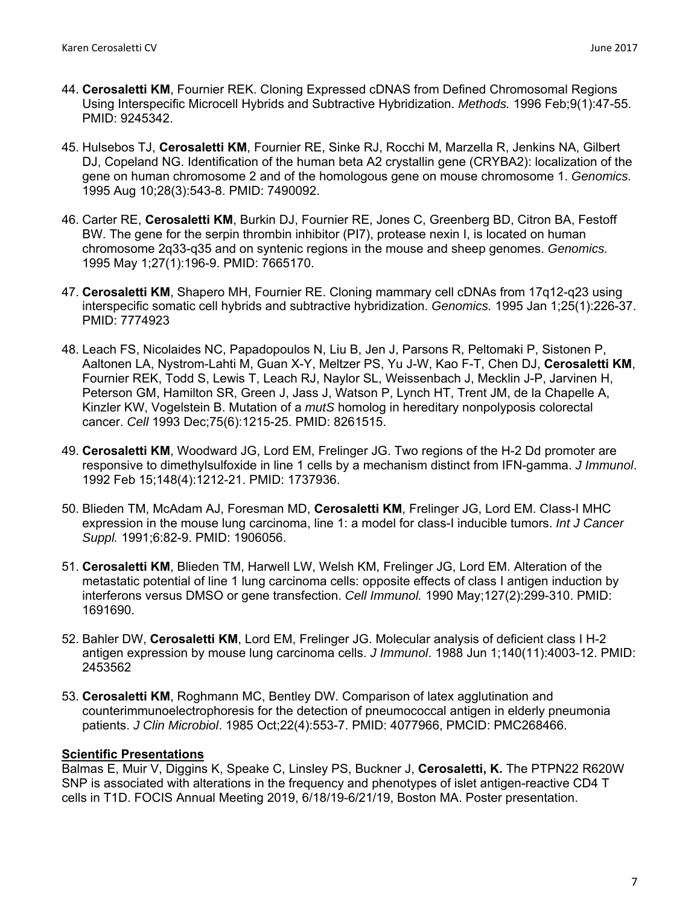- 44. **Cerosaletti KM**, Fournier REK. Cloning Expressed cDNAS from Defined Chromosomal Regions Using Interspecific Microcell Hybrids and Subtractive Hybridization. *Methods.* 1996 Feb;9(1):47-55. PMID: 9245342.
- 45. Hulsebos TJ, **Cerosaletti KM**, Fournier RE, Sinke RJ, Rocchi M, Marzella R, Jenkins NA, Gilbert DJ, Copeland NG. Identification of the human beta A2 crystallin gene (CRYBA2): localization of the gene on human chromosome 2 and of the homologous gene on mouse chromosome 1. *Genomics.* 1995 Aug 10;28(3):543-8. PMID: 7490092.
- 46. Carter RE, **Cerosaletti KM**, Burkin DJ, Fournier RE, Jones C, Greenberg BD, Citron BA, Festoff BW. The gene for the serpin thrombin inhibitor (PI7), protease nexin I, is located on human chromosome 2q33-q35 and on syntenic regions in the mouse and sheep genomes. *Genomics.* 1995 May 1;27(1):196-9. PMID: 7665170.
- 47. **Cerosaletti KM**, Shapero MH, Fournier RE. Cloning mammary cell cDNAs from 17q12-q23 using interspecific somatic cell hybrids and subtractive hybridization. *Genomics.* 1995 Jan 1;25(1):226-37. PMID: 7774923
- 48. Leach FS, Nicolaides NC, Papadopoulos N, Liu B, Jen J, Parsons R, Peltomaki P, Sistonen P, Aaltonen LA, Nystrom-Lahti M, Guan X-Y, Meltzer PS, Yu J-W, Kao F-T, Chen DJ, **Cerosaletti KM**, Fournier REK, Todd S, Lewis T, Leach RJ, Naylor SL, Weissenbach J, Mecklin J-P, Jarvinen H, Peterson GM, Hamilton SR, Green J, Jass J, Watson P, Lynch HT, Trent JM, de la Chapelle A, Kinzler KW, Vogelstein B. Mutation of a *mutS* homolog in hereditary nonpolyposis colorectal cancer. *Cell* 1993 Dec;75(6):1215-25. PMID: 8261515.
- 49. **Cerosaletti KM**, Woodward JG, Lord EM, Frelinger JG. Two regions of the H-2 Dd promoter are responsive to dimethylsulfoxide in line 1 cells by a mechanism distinct from IFN-gamma. *J Immunol*. 1992 Feb 15;148(4):1212-21. PMID: 1737936.
- 50. Blieden TM, McAdam AJ, Foresman MD, **Cerosaletti KM**, Frelinger JG, Lord EM. Class-I MHC expression in the mouse lung carcinoma, line 1: a model for class-I inducible tumors. *Int J Cancer Suppl.* 1991;6:82-9. PMID: 1906056.
- 51. **Cerosaletti KM**, Blieden TM, Harwell LW, Welsh KM, Frelinger JG, Lord EM. Alteration of the metastatic potential of line 1 lung carcinoma cells: opposite effects of class I antigen induction by interferons versus DMSO or gene transfection. *Cell Immunol.* 1990 May;127(2):299-310. PMID: 1691690.
- 52. Bahler DW, **Cerosaletti KM**, Lord EM, Frelinger JG. Molecular analysis of deficient class I H-2 antigen expression by mouse lung carcinoma cells. *J Immunol*. 1988 Jun 1;140(11):4003-12. PMID: 2453562
- 53. **Cerosaletti KM**, Roghmann MC, Bentley DW. Comparison of latex agglutination and counterimmunoelectrophoresis for the detection of pneumococcal antigen in elderly pneumonia patients. *J Clin Microbiol*. 1985 Oct;22(4):553-7. PMID: 4077966, PMCID: PMC268466.

### **Scientific Presentations**

Balmas E, Muir V, Diggins K, Speake C, Linsley PS, Buckner J, **Cerosaletti, K.** The PTPN22 R620W SNP is associated with alterations in the frequency and phenotypes of islet antigen-reactive CD4 T cells in T1D. FOCIS Annual Meeting 2019, 6/18/19-6/21/19, Boston MA. Poster presentation.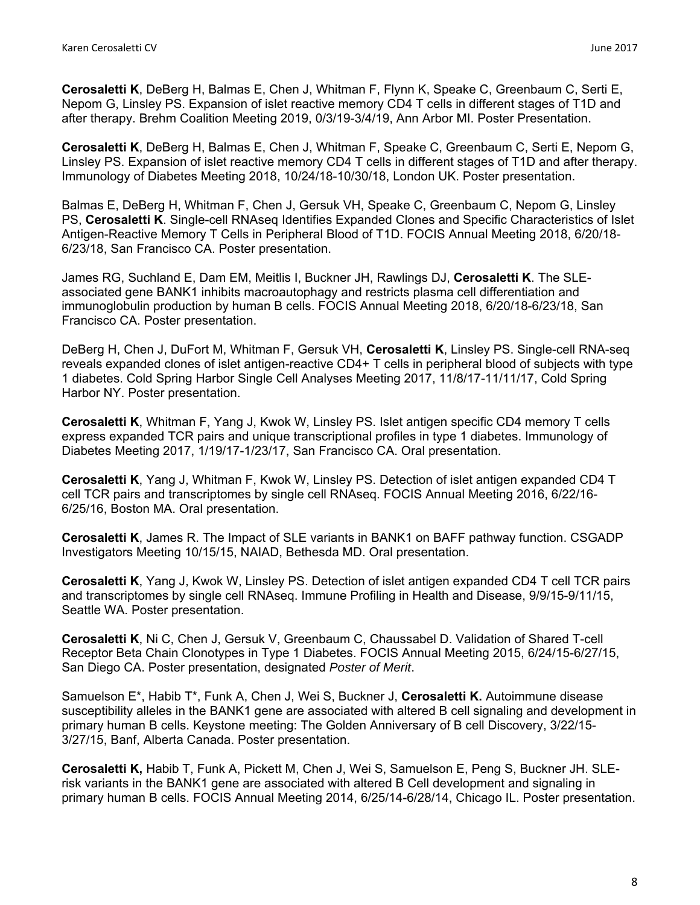**Cerosaletti K**, DeBerg H, Balmas E, Chen J, Whitman F, Flynn K, Speake C, Greenbaum C, Serti E, Nepom G, Linsley PS. Expansion of islet reactive memory CD4 T cells in different stages of T1D and after therapy. Brehm Coalition Meeting 2019, 0/3/19-3/4/19, Ann Arbor MI. Poster Presentation.

**Cerosaletti K**, DeBerg H, Balmas E, Chen J, Whitman F, Speake C, Greenbaum C, Serti E, Nepom G, Linsley PS. Expansion of islet reactive memory CD4 T cells in different stages of T1D and after therapy. Immunology of Diabetes Meeting 2018, 10/24/18-10/30/18, London UK. Poster presentation.

Balmas E, DeBerg H, Whitman F, Chen J, Gersuk VH, Speake C, Greenbaum C, Nepom G, Linsley PS, **Cerosaletti K**. Single-cell RNAseq Identifies Expanded Clones and Specific Characteristics of Islet Antigen-Reactive Memory T Cells in Peripheral Blood of T1D. FOCIS Annual Meeting 2018, 6/20/18- 6/23/18, San Francisco CA. Poster presentation.

James RG, Suchland E, Dam EM, Meitlis I, Buckner JH, Rawlings DJ, **Cerosaletti K**. The SLEassociated gene BANK1 inhibits macroautophagy and restricts plasma cell differentiation and immunoglobulin production by human B cells. FOCIS Annual Meeting 2018, 6/20/18-6/23/18, San Francisco CA. Poster presentation.

DeBerg H, Chen J, DuFort M, Whitman F, Gersuk VH, **Cerosaletti K**, Linsley PS. Single-cell RNA-seq reveals expanded clones of islet antigen-reactive CD4+ T cells in peripheral blood of subjects with type 1 diabetes. Cold Spring Harbor Single Cell Analyses Meeting 2017, 11/8/17-11/11/17, Cold Spring Harbor NY. Poster presentation.

**Cerosaletti K**, Whitman F, Yang J, Kwok W, Linsley PS. Islet antigen specific CD4 memory T cells express expanded TCR pairs and unique transcriptional profiles in type 1 diabetes. Immunology of Diabetes Meeting 2017, 1/19/17-1/23/17, San Francisco CA. Oral presentation.

**Cerosaletti K**, Yang J, Whitman F, Kwok W, Linsley PS. Detection of islet antigen expanded CD4 T cell TCR pairs and transcriptomes by single cell RNAseq. FOCIS Annual Meeting 2016, 6/22/16- 6/25/16, Boston MA. Oral presentation.

**Cerosaletti K**, James R. The Impact of SLE variants in BANK1 on BAFF pathway function. CSGADP Investigators Meeting 10/15/15, NAIAD, Bethesda MD. Oral presentation.

**Cerosaletti K**, Yang J, Kwok W, Linsley PS. Detection of islet antigen expanded CD4 T cell TCR pairs and transcriptomes by single cell RNAseq. Immune Profiling in Health and Disease, 9/9/15-9/11/15, Seattle WA. Poster presentation.

**Cerosaletti K**, Ni C, Chen J, Gersuk V, Greenbaum C, Chaussabel D. Validation of Shared T-cell Receptor Beta Chain Clonotypes in Type 1 Diabetes. FOCIS Annual Meeting 2015, 6/24/15-6/27/15, San Diego CA. Poster presentation, designated *Poster of Merit*.

Samuelson E\*, Habib T\*, Funk A, Chen J, Wei S, Buckner J, **Cerosaletti K.** Autoimmune disease susceptibility alleles in the BANK1 gene are associated with altered B cell signaling and development in primary human B cells. Keystone meeting: The Golden Anniversary of B cell Discovery, 3/22/15- 3/27/15, Banf, Alberta Canada. Poster presentation.

**Cerosaletti K,** Habib T, Funk A, Pickett M, Chen J, Wei S, Samuelson E, Peng S, Buckner JH. SLErisk variants in the BANK1 gene are associated with altered B Cell development and signaling in primary human B cells. FOCIS Annual Meeting 2014, 6/25/14-6/28/14, Chicago IL. Poster presentation.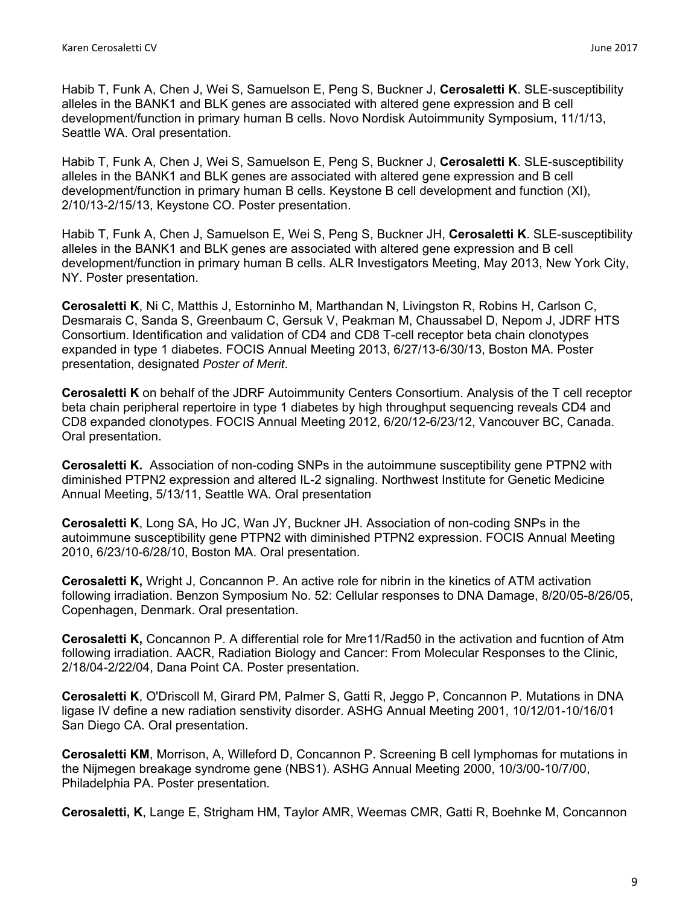Habib T, Funk A, Chen J, Wei S, Samuelson E, Peng S, Buckner J, **Cerosaletti K**. SLE-susceptibility alleles in the BANK1 and BLK genes are associated with altered gene expression and B cell development/function in primary human B cells. Novo Nordisk Autoimmunity Symposium, 11/1/13, Seattle WA. Oral presentation.

Habib T, Funk A, Chen J, Wei S, Samuelson E, Peng S, Buckner J, **Cerosaletti K**. SLE-susceptibility alleles in the BANK1 and BLK genes are associated with altered gene expression and B cell development/function in primary human B cells. Keystone B cell development and function (XI), 2/10/13-2/15/13, Keystone CO. Poster presentation.

Habib T, Funk A, Chen J, Samuelson E, Wei S, Peng S, Buckner JH, **Cerosaletti K**. SLE-susceptibility alleles in the BANK1 and BLK genes are associated with altered gene expression and B cell development/function in primary human B cells. ALR Investigators Meeting, May 2013, New York City, NY. Poster presentation.

**Cerosaletti K**, Ni C, Matthis J, Estorninho M, Marthandan N, Livingston R, Robins H, Carlson C, Desmarais C, Sanda S, Greenbaum C, Gersuk V, Peakman M, Chaussabel D, Nepom J, JDRF HTS Consortium. Identification and validation of CD4 and CD8 T-cell receptor beta chain clonotypes expanded in type 1 diabetes. FOCIS Annual Meeting 2013, 6/27/13-6/30/13, Boston MA. Poster presentation, designated *Poster of Merit*.

**Cerosaletti K** on behalf of the JDRF Autoimmunity Centers Consortium. Analysis of the T cell receptor beta chain peripheral repertoire in type 1 diabetes by high throughput sequencing reveals CD4 and CD8 expanded clonotypes. FOCIS Annual Meeting 2012, 6/20/12-6/23/12, Vancouver BC, Canada. Oral presentation.

**Cerosaletti K.** Association of non-coding SNPs in the autoimmune susceptibility gene PTPN2 with diminished PTPN2 expression and altered IL-2 signaling. Northwest Institute for Genetic Medicine Annual Meeting, 5/13/11, Seattle WA. Oral presentation

**Cerosaletti K**, Long SA, Ho JC, Wan JY, Buckner JH. Association of non-coding SNPs in the autoimmune susceptibility gene PTPN2 with diminished PTPN2 expression. FOCIS Annual Meeting 2010, 6/23/10-6/28/10, Boston MA. Oral presentation.

**Cerosaletti K,** Wright J, Concannon P. An active role for nibrin in the kinetics of ATM activation following irradiation. Benzon Symposium No. 52: Cellular responses to DNA Damage, 8/20/05-8/26/05, Copenhagen, Denmark. Oral presentation.

**Cerosaletti K,** Concannon P. A differential role for Mre11/Rad50 in the activation and fucntion of Atm following irradiation. AACR, Radiation Biology and Cancer: From Molecular Responses to the Clinic, 2/18/04-2/22/04, Dana Point CA. Poster presentation.

**Cerosaletti K**, O'Driscoll M, Girard PM, Palmer S, Gatti R, Jeggo P, Concannon P. Mutations in DNA ligase IV define a new radiation senstivity disorder. ASHG Annual Meeting 2001, 10/12/01-10/16/01 San Diego CA. Oral presentation.

**Cerosaletti KM**, Morrison, A, Willeford D, Concannon P. Screening B cell lymphomas for mutations in the Nijmegen breakage syndrome gene (NBS1). ASHG Annual Meeting 2000, 10/3/00-10/7/00, Philadelphia PA. Poster presentation.

**Cerosaletti, K**, Lange E, Strigham HM, Taylor AMR, Weemas CMR, Gatti R, Boehnke M, Concannon